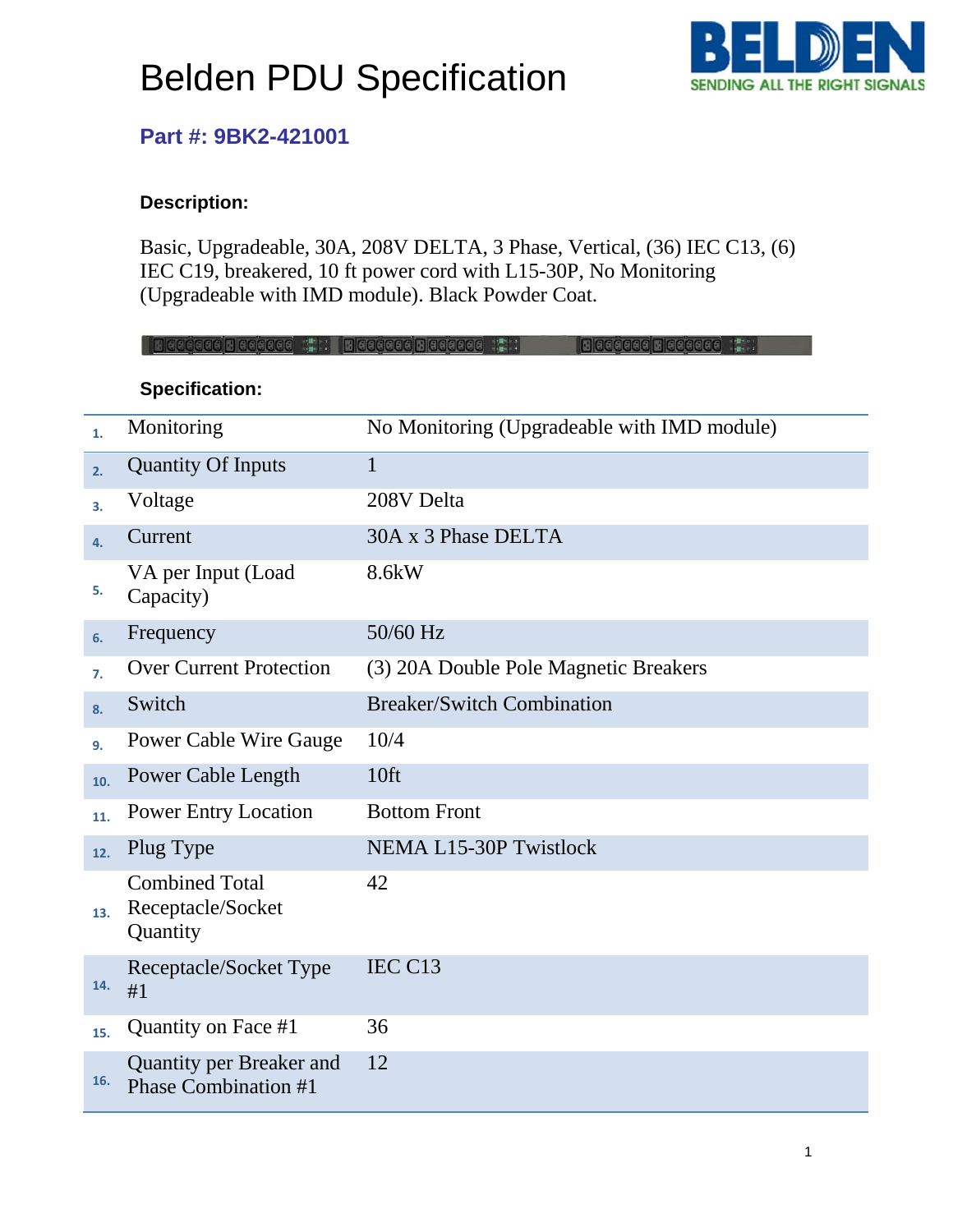# Belden PDU Specification



### **Part #: 9BK2-421001**

### **Description:**

Basic, Upgradeable, 30A, 208V DELTA, 3 Phase, Vertical, (36) IEC C13, (6) IEC C19, breakered, 10 ft power cord with L15-30P, No Monitoring (Upgradeable with IMD module). Black Powder Coat.

|     | Hedded Hedded T. Bedded Hedded T.                       | Because Because (2001)                      |
|-----|---------------------------------------------------------|---------------------------------------------|
|     | <b>Specification:</b>                                   |                                             |
| 1.  | Monitoring                                              | No Monitoring (Upgradeable with IMD module) |
| 2.  | <b>Quantity Of Inputs</b>                               | $\mathbf{1}$                                |
| 3.  | Voltage                                                 | 208V Delta                                  |
| 4.  | Current                                                 | 30A x 3 Phase DELTA                         |
| 5.  | VA per Input (Load<br>Capacity)                         | 8.6kW                                       |
| 6.  | Frequency                                               | 50/60 Hz                                    |
| 7.  | <b>Over Current Protection</b>                          | (3) 20A Double Pole Magnetic Breakers       |
| 8.  | Switch                                                  | <b>Breaker/Switch Combination</b>           |
| 9.  | <b>Power Cable Wire Gauge</b>                           | 10/4                                        |
| 10. | Power Cable Length                                      | 10 <sup>ft</sup>                            |
| 11. | <b>Power Entry Location</b>                             | <b>Bottom Front</b>                         |
| 12. | Plug Type                                               | <b>NEMA L15-30P Twistlock</b>               |
| 13. | <b>Combined Total</b><br>Receptacle/Socket<br>Quantity  | 42                                          |
| 14. | Receptacle/Socket Type<br>#1                            | IEC C13                                     |
| 15. | Quantity on Face #1                                     | 36                                          |
| 16. | Quantity per Breaker and<br><b>Phase Combination #1</b> | 12                                          |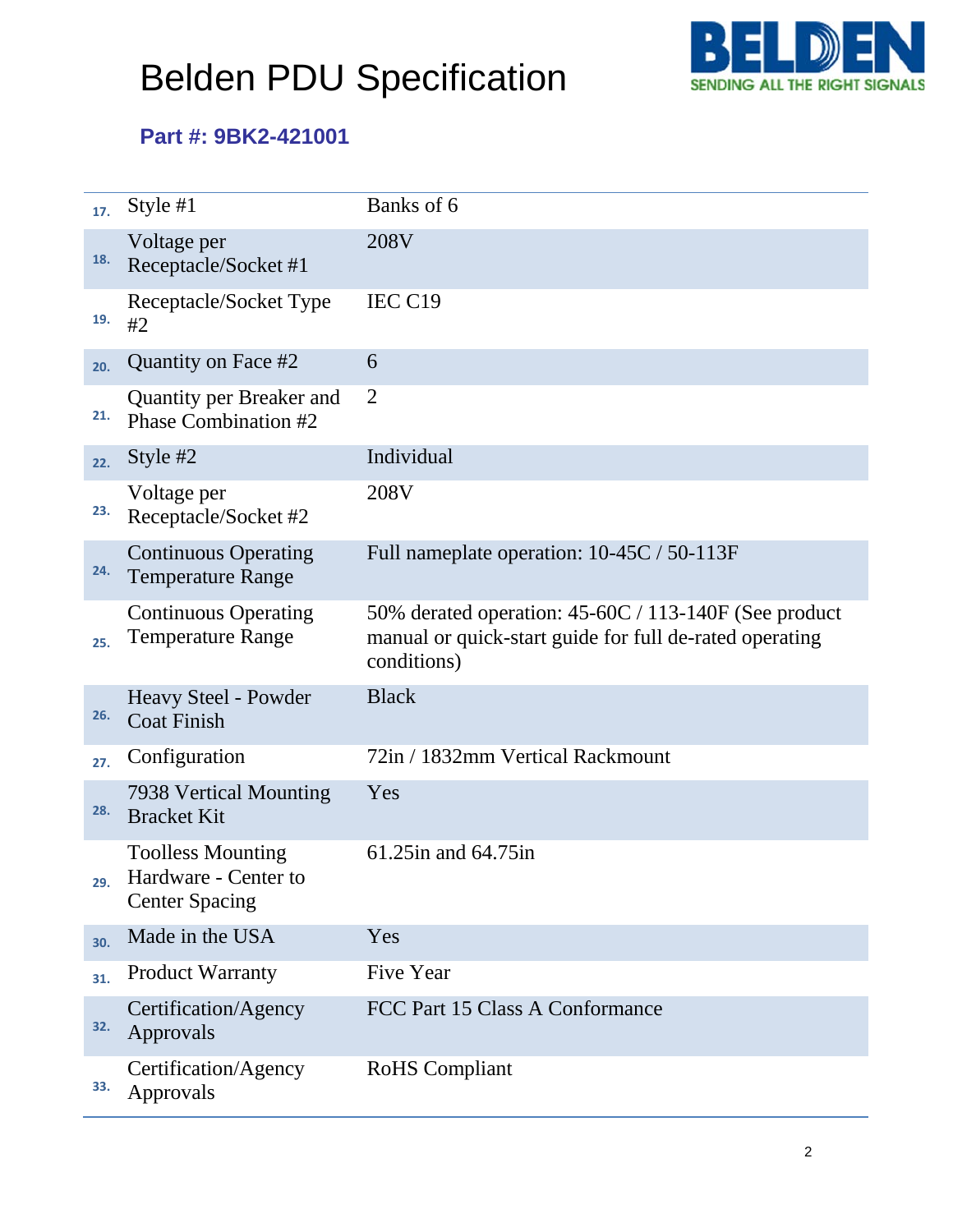# Belden PDU Specification



## **Part #: 9BK2-421001**

| 17. | Style $#1$                                                                | Banks of 6                                                                                                                      |
|-----|---------------------------------------------------------------------------|---------------------------------------------------------------------------------------------------------------------------------|
| 18. | Voltage per<br>Receptacle/Socket #1                                       | 208V                                                                                                                            |
| 19. | Receptacle/Socket Type<br>#2                                              | IEC C19                                                                                                                         |
| 20. | Quantity on Face #2                                                       | 6                                                                                                                               |
| 21. | <b>Quantity per Breaker and</b><br>Phase Combination #2                   | $\overline{2}$                                                                                                                  |
| 22. | Style #2                                                                  | Individual                                                                                                                      |
| 23. | Voltage per<br>Receptacle/Socket #2                                       | 208V                                                                                                                            |
| 24. | <b>Continuous Operating</b><br><b>Temperature Range</b>                   | Full nameplate operation: 10-45C / 50-113F                                                                                      |
| 25. | <b>Continuous Operating</b><br><b>Temperature Range</b>                   | 50% derated operation: 45-60C / 113-140F (See product<br>manual or quick-start guide for full de-rated operating<br>conditions) |
| 26. | Heavy Steel - Powder<br><b>Coat Finish</b>                                | <b>Black</b>                                                                                                                    |
| 27. | Configuration                                                             | 72in / 1832mm Vertical Rackmount                                                                                                |
| 28. | 7938 Vertical Mounting<br><b>Bracket Kit</b>                              | Yes                                                                                                                             |
| 29. | <b>Toolless Mounting</b><br>Hardware - Center to<br><b>Center Spacing</b> | 61.25 in and 64.75 in                                                                                                           |
| 30. | Made in the USA                                                           | Yes                                                                                                                             |
| 31. | <b>Product Warranty</b>                                                   | <b>Five Year</b>                                                                                                                |
| 32. | Certification/Agency<br>Approvals                                         | FCC Part 15 Class A Conformance                                                                                                 |
| 33. | Certification/Agency<br>Approvals                                         | <b>RoHS</b> Compliant                                                                                                           |